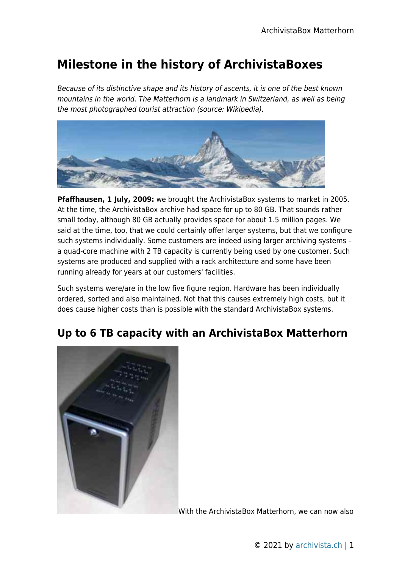## **Milestone in the history of ArchivistaBoxes**

Because of its distinctive shape and its history of ascents, it is one of the best known mountains in the world. The Matterhorn is a landmark in Switzerland, as well as being the most photographed tourist attraction (source: Wikipedia).



**Pfaffhausen, 1 July, 2009:** we brought the ArchivistaBox systems to market in 2005. At the time, the ArchivistaBox archive had space for up to 80 GB. That sounds rather small today, although 80 GB actually provides space for about 1.5 million pages. We said at the time, too, that we could certainly offer larger systems, but that we configure such systems individually. Some customers are indeed using larger archiving systems – a quad-core machine with 2 TB capacity is currently being used by one customer. Such systems are produced and supplied with a rack architecture and some have been running already for years at our customers' facilities.

Such systems were/are in the low five figure region. Hardware has been individually ordered, sorted and also maintained. Not that this causes extremely high costs, but it does cause higher costs than is possible with the standard ArchivistaBox systems.

## **Up to 6 TB capacity with an ArchivistaBox Matterhorn**



With the ArchivistaBox Matterhorn, we can now also